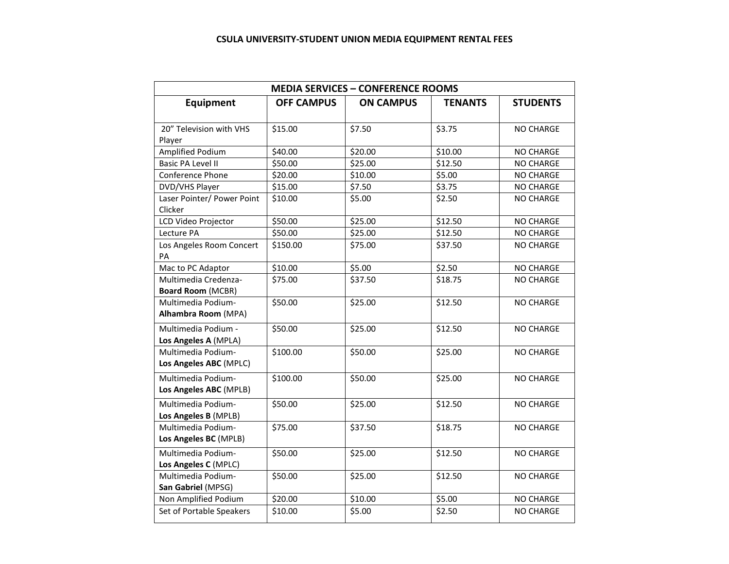| <b>MEDIA SERVICES - CONFERENCE ROOMS</b>         |                   |                  |                |                  |  |  |  |
|--------------------------------------------------|-------------------|------------------|----------------|------------------|--|--|--|
| <b>Equipment</b>                                 | <b>OFF CAMPUS</b> | <b>ON CAMPUS</b> | <b>TENANTS</b> | <b>STUDENTS</b>  |  |  |  |
| 20" Television with VHS<br>Player                | \$15.00           | \$7.50           | \$3.75         | <b>NO CHARGE</b> |  |  |  |
| Amplified Podium                                 | \$40.00           | \$20.00          | \$10.00        | NO CHARGE        |  |  |  |
| <b>Basic PA Level II</b>                         | \$50.00           | \$25.00          | \$12.50        | <b>NO CHARGE</b> |  |  |  |
| Conference Phone                                 | \$20.00           | \$10.00          | \$5.00         | <b>NO CHARGE</b> |  |  |  |
| DVD/VHS Player                                   | \$15.00           | \$7.50           | \$3.75         | NO CHARGE        |  |  |  |
| Laser Pointer/ Power Point<br>Clicker            | \$10.00           | \$5.00           | \$2.50         | NO CHARGE        |  |  |  |
| LCD Video Projector                              | \$50.00           | \$25.00          | \$12.50        | NO CHARGE        |  |  |  |
| Lecture PA                                       | \$50.00           | \$25.00          | \$12.50        | NO CHARGE        |  |  |  |
| Los Angeles Room Concert<br>PA                   | \$150.00          | \$75.00          | \$37.50        | NO CHARGE        |  |  |  |
| Mac to PC Adaptor                                | \$10.00           | \$5.00           | \$2.50         | <b>NO CHARGE</b> |  |  |  |
| Multimedia Credenza-<br><b>Board Room (MCBR)</b> | \$75.00           | \$37.50          | \$18.75        | <b>NO CHARGE</b> |  |  |  |
| Multimedia Podium-<br><b>Alhambra Room (MPA)</b> | \$50.00           | \$25.00          | \$12.50        | <b>NO CHARGE</b> |  |  |  |
| Multimedia Podium -<br>Los Angeles A (MPLA)      | \$50.00           | \$25.00          | \$12.50        | NO CHARGE        |  |  |  |
| Multimedia Podium-<br>Los Angeles ABC (MPLC)     | \$100.00          | \$50.00          | \$25.00        | <b>NO CHARGE</b> |  |  |  |
| Multimedia Podium-<br>Los Angeles ABC (MPLB)     | \$100.00          | \$50.00          | \$25.00        | NO CHARGE        |  |  |  |
| Multimedia Podium-<br>Los Angeles B (MPLB)       | \$50.00           | \$25.00          | \$12.50        | <b>NO CHARGE</b> |  |  |  |
| Multimedia Podium-<br>Los Angeles BC (MPLB)      | \$75.00           | \$37.50          | \$18.75        | NO CHARGE        |  |  |  |
| Multimedia Podium-<br>Los Angeles C (MPLC)       | \$50.00           | \$25.00          | \$12.50        | NO CHARGE        |  |  |  |
| Multimedia Podium-<br>San Gabriel (MPSG)         | \$50.00           | \$25.00          | \$12.50        | <b>NO CHARGE</b> |  |  |  |
| Non Amplified Podium                             | \$20.00           | \$10.00          | \$5.00         | <b>NO CHARGE</b> |  |  |  |
| Set of Portable Speakers                         | \$10.00           | \$5.00           | \$2.50         | NO CHARGE        |  |  |  |